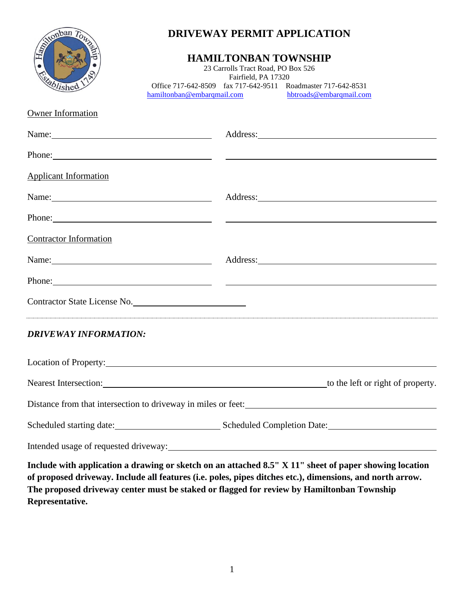

## **DRIVEWAY PERMIT APPLICATION**

## **HAMILTONBAN TOWNSHIP**

23 Carrolls Tract Road, PO Box 526 Fairfield, PA 17320 Office 717-642-8509 fax 717-642-9511 Roadmaster 717-642-8531<br>amiltonban@embarqmail.com hbtroads@embarqmail.com hamiltonban@embarqmail.com

Owner Information

|                               | Name: Address: Address:                                                                                                                                                                                                              |  |
|-------------------------------|--------------------------------------------------------------------------------------------------------------------------------------------------------------------------------------------------------------------------------------|--|
|                               | Phone: Note and the contract of the contract of the contract of the contract of the contract of the contract of the contract of the contract of the contract of the contract of the contract of the contract of the contract o       |  |
| <b>Applicant Information</b>  |                                                                                                                                                                                                                                      |  |
| Name: $\frac{1}{2}$           | Address: <u>and the same of the same of the same of the same of the same of the same of the same of the same of the same of the same of the same of the same of the same of the same of the same of the same of the same of the </u> |  |
|                               | Phone: Note and the contract of the contract of the contract of the contract of the contract of the contract of the contract of the contract of the contract of the contract of the contract of the contract of the contract o       |  |
| <b>Contractor Information</b> |                                                                                                                                                                                                                                      |  |
| Name:                         | Address: <u>and the contract of the contract of the contract of the contract of the contract of the contract of the contract of the contract of the contract of the contract of the contract of the contract of the contract of </u> |  |
|                               | Phone: Note and the contract of the contract of the contract of the contract of the contract of the contract of the contract of the contract of the contract of the contract of the contract of the contract of the contract o       |  |
| Contractor State License No.  | a series of the series of the series of the series of the series of the series of the series of the series of                                                                                                                        |  |
| <b>DRIVEWAY INFORMATION:</b>  |                                                                                                                                                                                                                                      |  |
|                               | Location of Property:                                                                                                                                                                                                                |  |
|                               |                                                                                                                                                                                                                                      |  |
|                               | Distance from that intersection to driveway in miles or feet:<br><u>Distance from that intersection</u> to driveway in miles or feet:                                                                                                |  |
|                               |                                                                                                                                                                                                                                      |  |
|                               |                                                                                                                                                                                                                                      |  |
|                               | Include with annication a drawing or sketch on an attached 8.5" X 11" sheet of paper showing location                                                                                                                                |  |

**Include with application a drawing or sketch on an attached 8.5" X 11" sheet of paper showing location of proposed driveway. Include all features (i.e. poles, pipes ditches etc.), dimensions, and north arrow. The proposed driveway center must be staked or flagged for review by Hamiltonban Township Representative.**